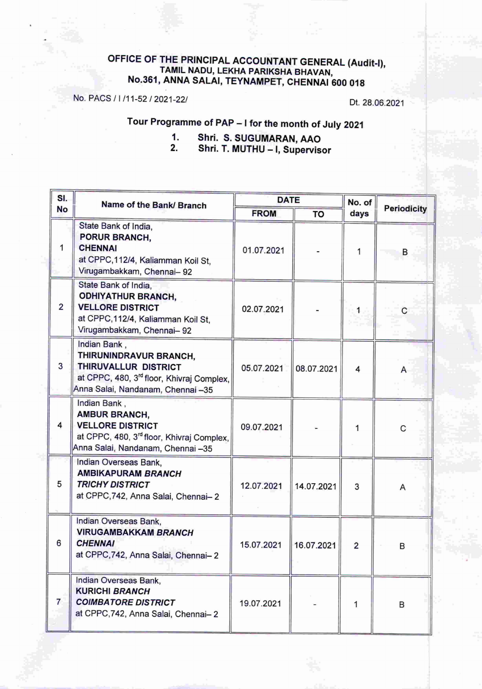#### OFFICE OF THE PRINCIPAL ACCOUNTANT GENERAL (Audit-I), TAMIL NADU. LEKHA PARIKSHA BHAVAN, No.361, ANNA SALAI, TEYNAMPET, CHENNAI 600018

No. PACS *<sup>1</sup>*I*111-5212021-221* Dt. 28.06.2021

## Tour Programme of PAP - I for the month of July 2021

1. Shri. S. SUGUMARAN, AAO<br>2. Shri. T. MUTHU - I. Supervis Shri. T. MUTHU - I, Supervisor

| SI.<br><b>No</b>        | Name of the Bank/ Branch                                                                                                                                      | <b>DATE</b> |            | No. of         |                    |
|-------------------------|---------------------------------------------------------------------------------------------------------------------------------------------------------------|-------------|------------|----------------|--------------------|
|                         |                                                                                                                                                               | <b>FROM</b> | <b>TO</b>  | days           | <b>Periodicity</b> |
|                         | State Bank of India,<br>PORUR BRANCH,<br><b>CHENNAI</b><br>at CPPC, 112/4, Kaliamman Koil St,<br>Virugambakkam, Chennai- 92                                   | 01.07.2021  |            |                | B                  |
| $\overline{2}$          | State Bank of India,<br><b>ODHIYATHUR BRANCH,</b><br><b>VELLORE DISTRICT</b><br>at CPPC, 112/4, Kaliamman Koil St,<br>Virugambakkam, Chennai- 92              | 02.07.2021  |            | 1              | С                  |
| $\overline{\mathbf{3}}$ | Indian Bank,<br>THIRUNINDRAVUR BRANCH,<br>THIRUVALLUR DISTRICT<br>at CPPC, 480, 3 <sup>rd</sup> floor, Khivraj Complex,<br>Anna Salai, Nandanam, Chennai -35  | 05.07.2021  | 08.07.2021 | 4              | А                  |
| 4                       | Indian Bank,<br><b>AMBUR BRANCH,</b><br><b>VELLORE DISTRICT</b><br>at CPPC, 480, 3 <sup>rd</sup> floor, Khivraj Complex,<br>Anna Salai, Nandanam, Chennai -35 | 09.07.2021  |            | 1              | С                  |
| 5                       | Indian Overseas Bank,<br><b>AMBIKAPURAM BRANCH</b><br><b>TRICHY DISTRICT</b><br>at CPPC, 742, Anna Salai, Chennai-2                                           | 12.07.2021  | 14.07.2021 | 3              | Α                  |
| 6                       | Indian Overseas Bank,<br><b>VIRUGAMBAKKAM BRANCH</b><br><b>CHENNAI</b><br>at CPPC, 742, Anna Salai, Chennai-2                                                 | 15.07.2021  | 16.07.2021 | $\overline{2}$ | В                  |
| $\overline{7}$          | Indian Overseas Bank,<br><b>KURICHI BRANCH</b><br><b>COIMBATORE DISTRICT</b><br>at CPPC, 742, Anna Salai, Chennai-2                                           | 19.07.2021  |            | 1              | B                  |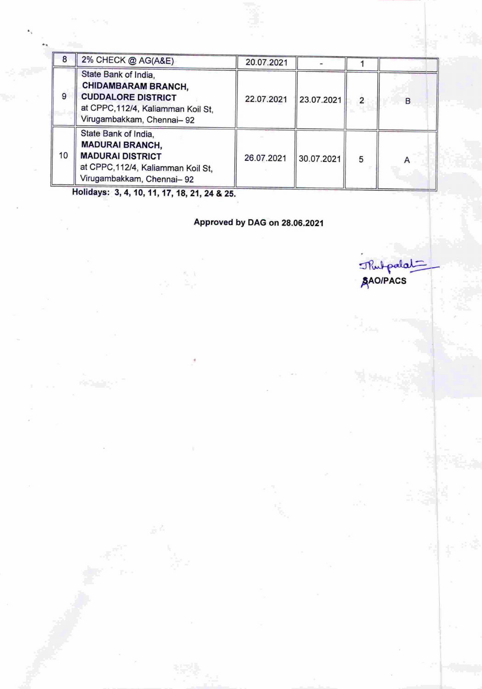| 8  | 2% CHECK @ AG(A&E)                                                                                                                                  | 20.07.2021 |            |                |   |
|----|-----------------------------------------------------------------------------------------------------------------------------------------------------|------------|------------|----------------|---|
| 9  | State Bank of India,<br><b>CHIDAMBARAM BRANCH,</b><br><b>CUDDALORE DISTRICT</b><br>at CPPC, 112/4, Kaliamman Koil St,<br>Virugambakkam, Chennai- 92 | 22.07.2021 | 23.07.2021 | $\overline{2}$ | B |
| 10 | State Bank of India,<br><b>MADURAI BRANCH,</b><br><b>MADURAI DISTRICT</b><br>at CPPC, 112/4, Kaliamman Koil St,<br>Virugambakkam, Chennai- 92       | 26.07.2021 | 30.07.2021 | 5              |   |

Holidays: 3,4,10,11,17,18,21,24 & 25.

...

Approved by DAG on 28.06.2021

Thut palat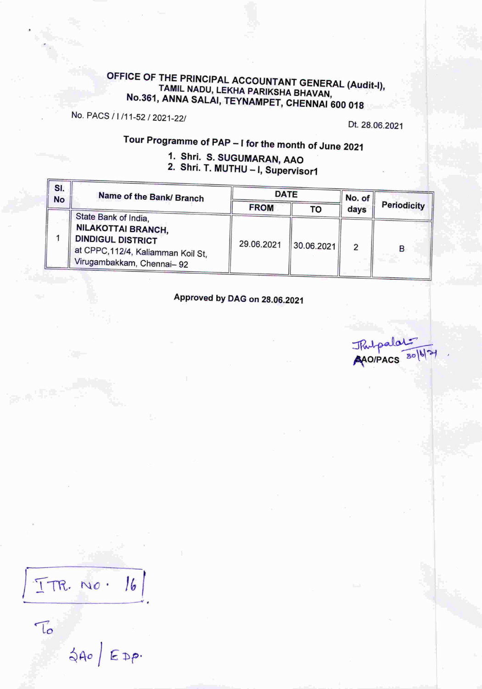## OFFICE OF THE PRINCIPAL ACCOUNTANT GENERAL (Audit-I), TAMIL NADU, LEKHA PARIKSHA BHAVAN, . No.361, ANNA SALAI, TEYNAMPET, CHENNAI 600 018

No. PACS / *1/11-52 / 2021-221*

Dt. 28.06.2021

Tour Programma of PAP - I'for the month of June 2021

### 1. Shri. S. SUGUMARAN, AAO 2. Shri. T. MUTHU - I, Supervisor1

| SI.<br><b>No</b> | Name of the Bank/ Branch                                                                                                                         | <b>DATE</b> |            | No. of |                    |
|------------------|--------------------------------------------------------------------------------------------------------------------------------------------------|-------------|------------|--------|--------------------|
|                  |                                                                                                                                                  | <b>FROM</b> | то         | days   | <b>Periodicity</b> |
|                  | State Bank of India,<br><b>NILAKOTTAI BRANCH,</b><br><b>DINDIGUL DISTRICT</b><br>at CPPC,112/4, Kaliamman Koil St,<br>Virugambakkam, Chennai- 92 | 29.06.2021  | 30.06.2021 |        | в                  |

Approved by DAG on 28.06.2021

Thulpalat

)lm. *MO'*  $16$ ~--------------- .

 $\leqslant A0$   $EDP$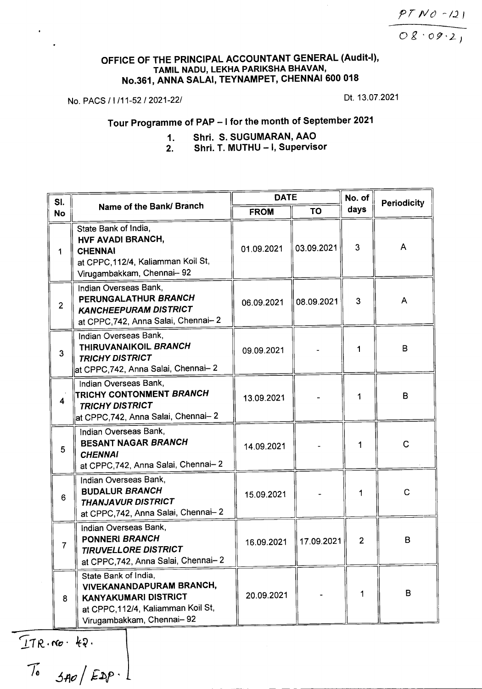*P T IV () ~ 1.2 I*

*Og'09'2,*

#### OFFICE OF THE PRINCIPAL ACCOUNTANT GENERAL (Audit-I), TAMIL NADU, LEKHA PARIKSHA BHAVAN, No.361, ANNA SALAI, TEYNAMPET, CHENNAI 600 018

No. PACS / I /11-52 / 2021-22/ Dt. 13.07.2021

# Tour Programme of PAP - I for the month of September 2021

1. Shri. S. SUGUMARAN, AAO 2. Shri. T. MUTHU - I, Supervisor

| SI.            | Name of the Bank/ Branch                                                                                                                            | <b>DATE</b> |            | No. of         | Periodicity    |
|----------------|-----------------------------------------------------------------------------------------------------------------------------------------------------|-------------|------------|----------------|----------------|
| <b>No</b>      |                                                                                                                                                     | <b>FROM</b> | <b>TO</b>  | days           |                |
|                | State Bank of India,<br><b>HVF AVADI BRANCH,</b><br><b>CHENNAI</b><br>at CPPC, 112/4, Kaliamman Koil St,<br>Virugambakkam, Chennai-92               | 01.09.2021  | 03.09.2021 | 3              | A              |
| $\overline{2}$ | Indian Overseas Bank,<br>PERUNGALATHUR BRANCH<br><b>KANCHEEPURAM DISTRICT</b><br>at CPPC, 742, Anna Salai, Chennai-2                                | 06.09.2021  | 08.09.2021 | 3              | A              |
| 3              | Indian Overseas Bank,<br>THIRUVANAIKOIL BRANCH<br><b>TRICHY DISTRICT</b><br>at CPPC,742, Anna Salai, Chennai- 2                                     | 09.09.2021  |            | 1              | B              |
| 4              | Indian Overseas Bank,<br><b>TRICHY CONTONMENT BRANCH</b><br><b>TRICHY DISTRICT</b><br>at CPPC,742, Anna Salai, Chennai- 2                           | 13.09.2021  |            | 1              | B              |
| 5              | Indian Overseas Bank,<br><b>BESANT NAGAR BRANCH</b><br><b>CHENNAI</b><br>at CPPC, 742, Anna Salai, Chennai-2                                        | 14.09.2021  |            | 1              | $\overline{C}$ |
| 6              | Indian Overseas Bank,<br><b>BUDALUR BRANCH</b><br><b>THANJAVUR DISTRICT</b><br>at CPPC, 742, Anna Salai, Chennai-2                                  | 15.09.2021  |            | 1              | $\mathbf C$    |
| 7              | Indian Overseas Bank,<br><b>PONNERI BRANCH</b><br><b>TIRUVELLORE DISTRICT</b><br>at CPPC, 742, Anna Salai, Chennai-2                                | 16.09.2021  | 17.09.2021 | $\overline{2}$ | B              |
| 8              | State Bank of India,<br>VIVEKANANDAPURAM BRANCH,<br><b>KANYAKUMARI DISTRICT</b><br>at CPPC, 112/4, Kaliamman Koil St,<br>Virugambakkam, Chennai- 92 | 20.09.2021  |            |                | B              |

-~*J.11( . ('(0 .* ~~.

 $\begin{array}{cc} \hline I_0 & \hline \end{array}$   $\begin{array}{cc} \hline \end{array}$   $\begin{array}{cc} \hline \end{array}$   $\begin{array}{cc} \hline \end{array}$ ----------------------- - - - - ---------\_.\_----